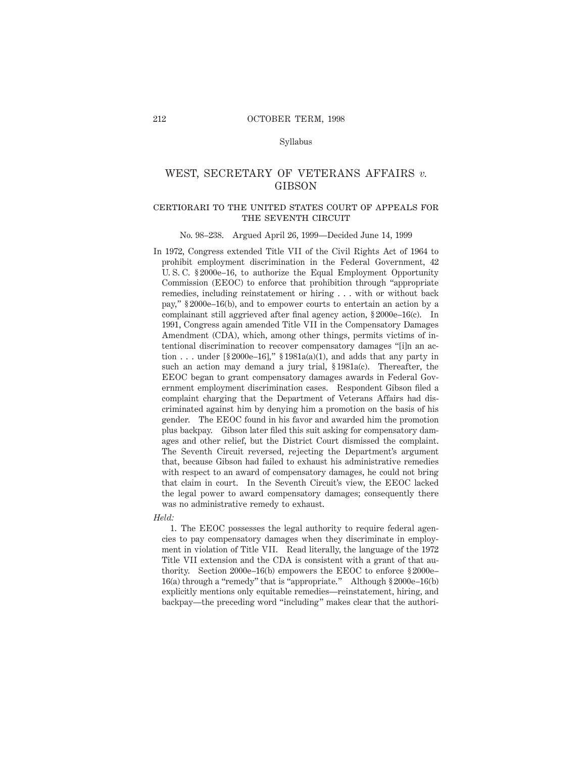#### Syllabus

## WEST, SECRETARY OF VETERANS AFFAIRS *v.* GIBSON

#### certiorari to the united states court of appeals forTHE SEVENTH CIRCUIT

#### No. 98–238. Argued April 26, 1999—Decided June 14, 1999

In 1972, Congress extended Title VII of the Civil Rights Act of 1964 to prohibit employment discrimination in the Federal Government, 42 U. S. C. § 2000e–16, to authorize the Equal Employment Opportunity Commission (EEOC) to enforce that prohibition through "appropriate remedies, including reinstatement or hiring . . . with or without back pay," § 2000e–16(b), and to empower courts to entertain an action by a complainant still aggrieved after final agency action, § 2000e–16(c). In 1991, Congress again amended Title VII in the Compensatory Damages Amendment (CDA), which, among other things, permits victims of intentional discrimination to recover compensatory damages "[i]n an action ... under  $\lceil \frac{6}{5} \cdot 2000e - 16 \rceil$ ,"  $\frac{6}{5} \cdot 1981a(a)(1)$ , and adds that any party in such an action may demand a jury trial, § 1981a(c). Thereafter, the EEOC began to grant compensatory damages awards in Federal Government employment discrimination cases. Respondent Gibson filed a complaint charging that the Department of Veterans Affairs had discriminated against him by denying him a promotion on the basis of his gender. The EEOC found in his favor and awarded him the promotion plus backpay. Gibson later filed this suit asking for compensatory damages and other relief, but the District Court dismissed the complaint. The Seventh Circuit reversed, rejecting the Department's argument that, because Gibson had failed to exhaust his administrative remedies with respect to an award of compensatory damages, he could not bring that claim in court. In the Seventh Circuit's view, the EEOC lacked the legal power to award compensatory damages; consequently there was no administrative remedy to exhaust.

*Held:*

1. The EEOC possesses the legal authority to require federal agencies to pay compensatory damages when they discriminate in employment in violation of Title VII. Read literally, the language of the 1972 Title VII extension and the CDA is consistent with a grant of that authority. Section 2000e–16(b) empowers the EEOC to enforce § 2000e– 16(a) through a "remedy" that is "appropriate." Although § 2000e–16(b) explicitly mentions only equitable remedies—reinstatement, hiring, and backpay—the preceding word "including" makes clear that the authori-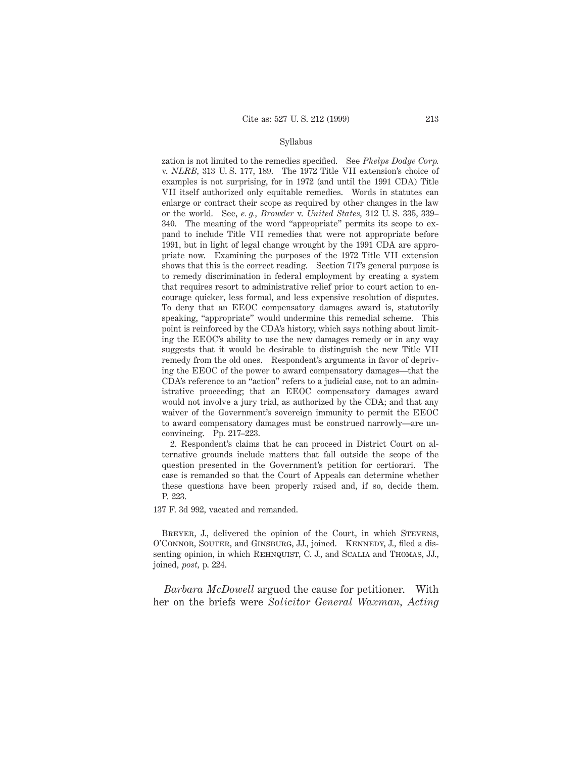#### Syllabus

zation is not limited to the remedies specified. See *Phelps Dodge Corp.* v. *NLRB,* 313 U. S. 177, 189. The 1972 Title VII extension's choice of examples is not surprising, for in 1972 (and until the 1991 CDA) Title VII itself authorized only equitable remedies. Words in statutes can enlarge or contract their scope as required by other changes in the law or the world. See, *e. g., Browder* v. *United States,* 312 U. S. 335, 339– 340. The meaning of the word "appropriate" permits its scope to expand to include Title VII remedies that were not appropriate before 1991, but in light of legal change wrought by the 1991 CDA are appropriate now. Examining the purposes of the 1972 Title VII extension shows that this is the correct reading. Section 717's general purpose is to remedy discrimination in federal employment by creating a system that requires resort to administrative relief prior to court action to encourage quicker, less formal, and less expensive resolution of disputes. To deny that an EEOC compensatory damages award is, statutorily speaking, "appropriate" would undermine this remedial scheme. This point is reinforced by the CDA's history, which says nothing about limiting the EEOC's ability to use the new damages remedy or in any way suggests that it would be desirable to distinguish the new Title VII remedy from the old ones. Respondent's arguments in favor of depriving the EEOC of the power to award compensatory damages—that the CDA's reference to an "action" refers to a judicial case, not to an administrative proceeding; that an EEOC compensatory damages award would not involve a jury trial, as authorized by the CDA; and that any waiver of the Government's sovereign immunity to permit the EEOC to award compensatory damages must be construed narrowly—are unconvincing. Pp. 217–223.

2. Respondent's claims that he can proceed in District Court on alternative grounds include matters that fall outside the scope of the question presented in the Government's petition for certiorari. The case is remanded so that the Court of Appeals can determine whether these questions have been properly raised and, if so, decide them. P. 223.

137 F. 3d 992, vacated and remanded.

BREYER, J., delivered the opinion of the Court, in which STEVENS, O'CONNOR, SOUTER, and GINSBURG, JJ., joined. KENNEDY, J., filed a dissenting opinion, in which REHNQUIST, C. J., and SCALIA and THOMAS, JJ., joined, *post,* p. 224.

*Barbara McDowell* argued the cause for petitioner. With her on the briefs were *Solicitor General Waxman, Acting*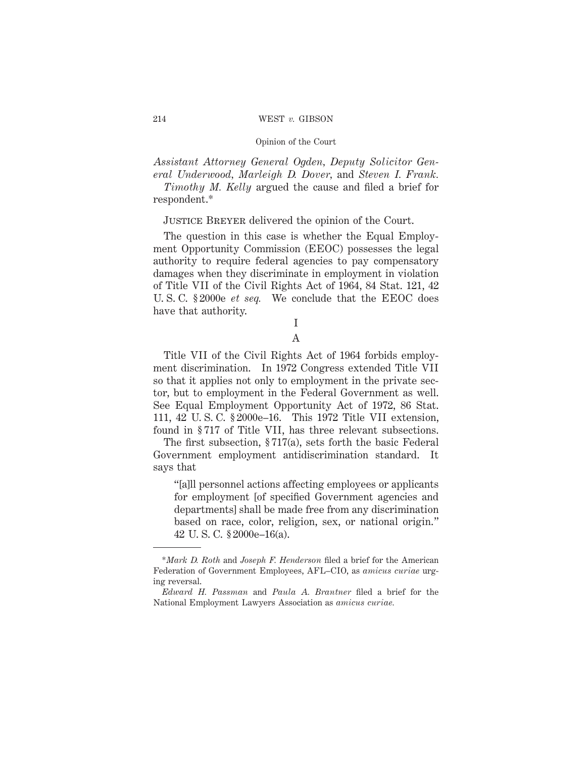*Assistant Attorney General Ogden, Deputy Solicitor General Underwood, Marleigh D. Dover,* and *Steven I. Frank.*

*Timothy M. Kelly* argued the cause and filed a brief for respondent.\*

Justice Breyer delivered the opinion of the Court.

The question in this case is whether the Equal Employment Opportunity Commission (EEOC) possesses the legal authority to require federal agencies to pay compensatory damages when they discriminate in employment in violation of Title VII of the Civil Rights Act of 1964, 84 Stat. 121, 42 U. S. C. § 2000e *et seq.* We conclude that the EEOC does have that authority.

# I

## A

Title VII of the Civil Rights Act of 1964 forbids employment discrimination. In 1972 Congress extended Title VII so that it applies not only to employment in the private sector, but to employment in the Federal Government as well. See Equal Employment Opportunity Act of 1972, 86 Stat. 111, 42 U. S. C. § 2000e–16. This 1972 Title VII extension, found in § 717 of Title VII, has three relevant subsections.

The first subsection, § 717(a), sets forth the basic Federal Government employment antidiscrimination standard. It says that

"[a]ll personnel actions affecting employees or applicants for employment [of specified Government agencies and departments] shall be made free from any discrimination based on race, color, religion, sex, or national origin." 42 U. S. C. § 2000e–16(a).

<sup>\*</sup>*Mark D. Roth* and *Joseph F. Henderson* filed a brief for the American Federation of Government Employees, AFL–CIO, as *amicus curiae* urging reversal.

*Edward H. Passman* and *Paula A. Brantner* filed a brief for the National Employment Lawyers Association as *amicus curiae.*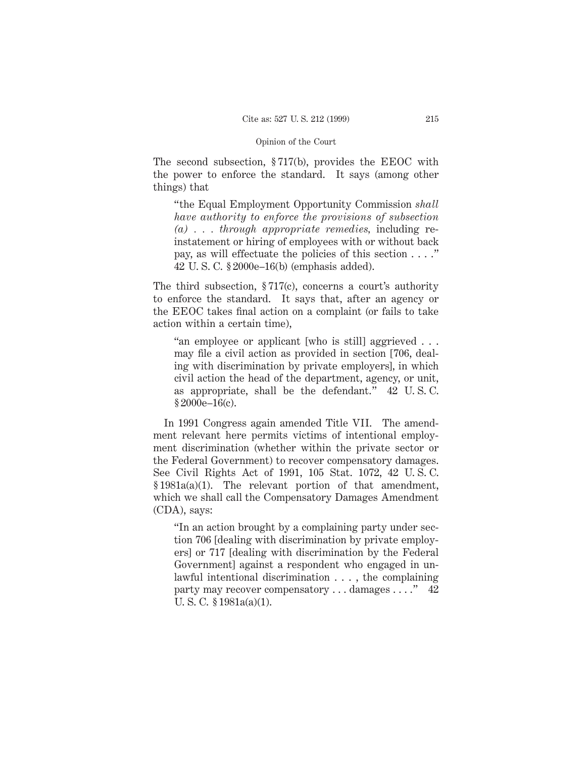The second subsection, § 717(b), provides the EEOC with the power to enforce the standard. It says (among other things) that

"the Equal Employment Opportunity Commission *shall have authority to enforce the provisions of subsection (a) . . . through appropriate remedies,* including reinstatement or hiring of employees with or without back pay, as will effectuate the policies of this section . . . ." 42 U. S. C. § 2000e–16(b) (emphasis added).

The third subsection, § 717(c), concerns a court's authority to enforce the standard. It says that, after an agency or the EEOC takes final action on a complaint (or fails to take action within a certain time),

"an employee or applicant [who is still] aggrieved . . . may file a civil action as provided in section [706, dealing with discrimination by private employers], in which civil action the head of the department, agency, or unit, as appropriate, shall be the defendant." 42 U. S. C. § 2000e–16(c).

In 1991 Congress again amended Title VII. The amendment relevant here permits victims of intentional employment discrimination (whether within the private sector or the Federal Government) to recover compensatory damages. See Civil Rights Act of 1991, 105 Stat. 1072, 42 U. S. C. § 1981a(a)(1). The relevant portion of that amendment, which we shall call the Compensatory Damages Amendment (CDA), says:

"In an action brought by a complaining party under section 706 [dealing with discrimination by private employers] or 717 [dealing with discrimination by the Federal Government] against a respondent who engaged in unlawful intentional discrimination . . . , the complaining party may recover compensatory . . . damages . . . ." 42 U. S. C. § 1981a(a)(1).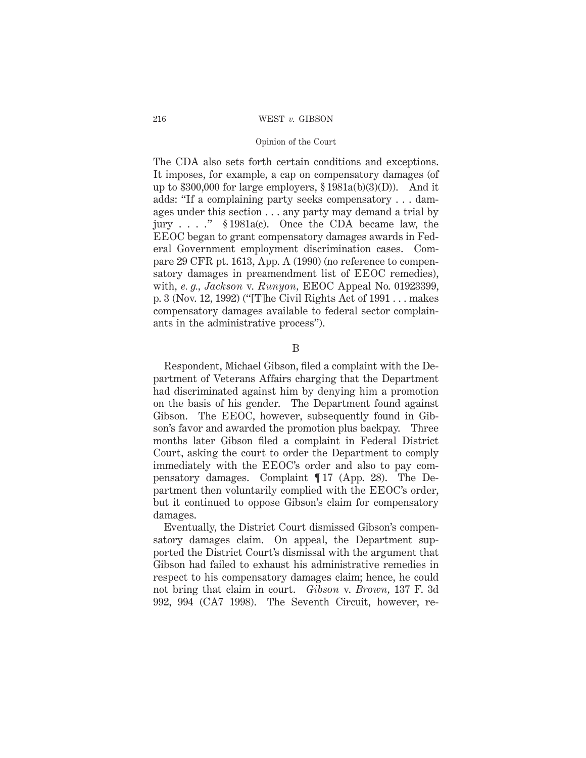#### 216 WEST *v.* GIBSON

#### Opinion of the Court

The CDA also sets forth certain conditions and exceptions. It imposes, for example, a cap on compensatory damages (of up to \$300,000 for large employers,  $\S 1981a(b)(3)(D)$ ). And it adds: "If a complaining party seeks compensatory . . . damages under this section . . . any party may demand a trial by jury . . . ." § 1981a(c). Once the CDA became law, the EEOC began to grant compensatory damages awards in Federal Government employment discrimination cases. Compare 29 CFR pt. 1613, App. A (1990) (no reference to compensatory damages in preamendment list of EEOC remedies), with, *e. g., Jackson* v. *Runyon,* EEOC Appeal No. 01923399, p. 3 (Nov. 12, 1992) ("[T]he Civil Rights Act of 1991 . . . makes compensatory damages available to federal sector complainants in the administrative process").

B

Respondent, Michael Gibson, filed a complaint with the Department of Veterans Affairs charging that the Department had discriminated against him by denying him a promotion on the basis of his gender. The Department found against Gibson. The EEOC, however, subsequently found in Gibson's favor and awarded the promotion plus backpay. Three months later Gibson filed a complaint in Federal District Court, asking the court to order the Department to comply immediately with the EEOC's order and also to pay compensatory damages. Complaint ¶ 17 (App. 28). The Department then voluntarily complied with the EEOC's order, but it continued to oppose Gibson's claim for compensatory damages.

Eventually, the District Court dismissed Gibson's compensatory damages claim. On appeal, the Department supported the District Court's dismissal with the argument that Gibson had failed to exhaust his administrative remedies in respect to his compensatory damages claim; hence, he could not bring that claim in court. *Gibson* v. *Brown,* 137 F. 3d 992, 994 (CA7 1998). The Seventh Circuit, however, re-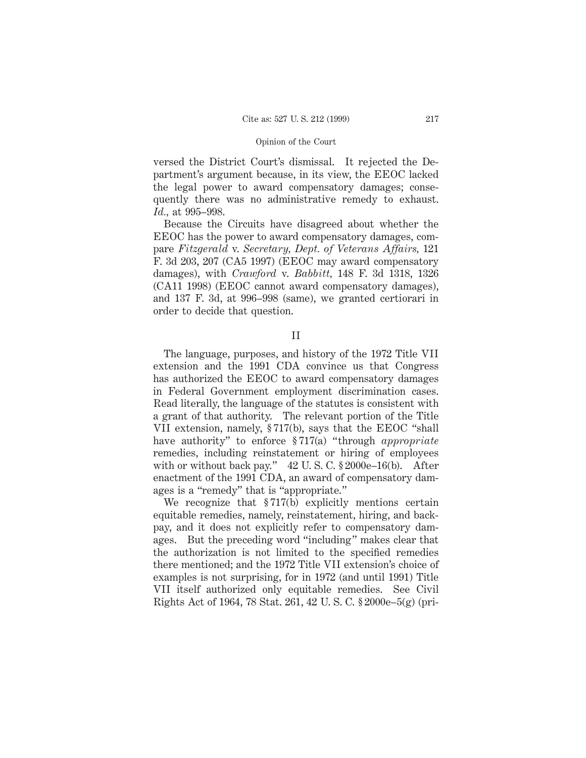versed the District Court's dismissal. It rejected the Department's argument because, in its view, the EEOC lacked the legal power to award compensatory damages; consequently there was no administrative remedy to exhaust. *Id.,* at 995–998.

Because the Circuits have disagreed about whether the EEOC has the power to award compensatory damages, compare *Fitzgerald* v. *Secretary, Dept. of Veterans Affairs,* 121 F. 3d 203, 207 (CA5 1997) (EEOC may award compensatory damages), with *Crawford* v. *Babbitt,* 148 F. 3d 1318, 1326 (CA11 1998) (EEOC cannot award compensatory damages), and 137 F. 3d, at 996–998 (same), we granted certiorari in order to decide that question.

#### II

The language, purposes, and history of the 1972 Title VII extension and the 1991 CDA convince us that Congress has authorized the EEOC to award compensatory damages in Federal Government employment discrimination cases. Read literally, the language of the statutes is consistent with a grant of that authority. The relevant portion of the Title VII extension, namely, § 717(b), says that the EEOC "shall have authority" to enforce § 717(a) "through *appropriate* remedies, including reinstatement or hiring of employees with or without back pay." 42 U.S.C. § 2000e–16(b). After enactment of the 1991 CDA, an award of compensatory damages is a "remedy" that is "appropriate."

We recognize that §717(b) explicitly mentions certain equitable remedies, namely, reinstatement, hiring, and backpay, and it does not explicitly refer to compensatory damages. But the preceding word "including" makes clear that the authorization is not limited to the specified remedies there mentioned; and the 1972 Title VII extension's choice of examples is not surprising, for in 1972 (and until 1991) Title VII itself authorized only equitable remedies. See Civil Rights Act of 1964, 78 Stat. 261, 42 U. S. C. § 2000e–5(g) (pri-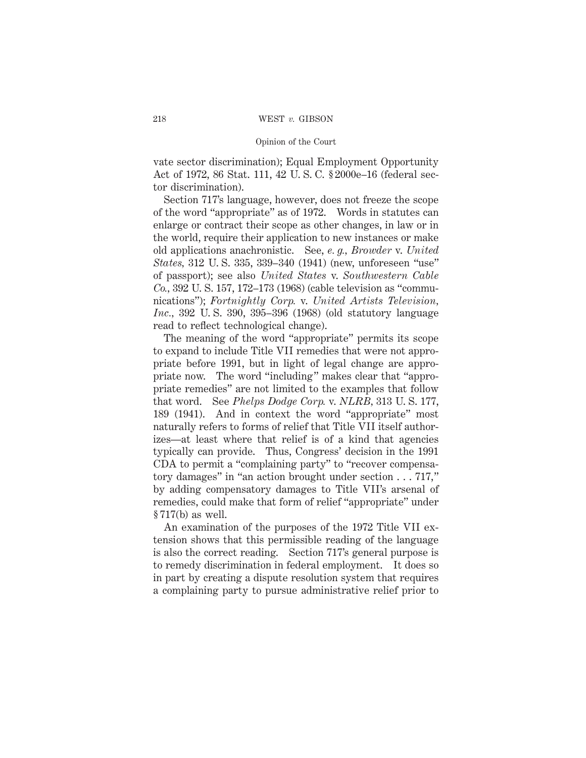vate sector discrimination); Equal Employment Opportunity Act of 1972, 86 Stat. 111, 42 U. S. C. § 2000e–16 (federal sector discrimination).

Section 717's language, however, does not freeze the scope of the word "appropriate" as of 1972. Words in statutes can enlarge or contract their scope as other changes, in law or in the world, require their application to new instances or make old applications anachronistic. See, *e. g., Browder* v. *United States,* 312 U. S. 335, 339–340 (1941) (new, unforeseen "use" of passport); see also *United States* v. *Southwestern Cable Co.,* 392 U. S. 157, 172–173 (1968) (cable television as "communications"); *Fortnightly Corp.* v. *United Artists Television, Inc.,* 392 U. S. 390, 395–396 (1968) (old statutory language read to reflect technological change).

The meaning of the word "appropriate" permits its scope to expand to include Title VII remedies that were not appropriate before 1991, but in light of legal change are appropriate now. The word "including" makes clear that "appropriate remedies" are not limited to the examples that follow that word. See *Phelps Dodge Corp.* v. *NLRB,* 313 U. S. 177, 189 (1941). And in context the word "appropriate" most naturally refers to forms of relief that Title VII itself authorizes—at least where that relief is of a kind that agencies typically can provide. Thus, Congress' decision in the 1991 CDA to permit a "complaining party" to "recover compensatory damages" in "an action brought under section . . . 717," by adding compensatory damages to Title VII's arsenal of remedies, could make that form of relief "appropriate" under § 717(b) as well.

An examination of the purposes of the 1972 Title VII extension shows that this permissible reading of the language is also the correct reading. Section 717's general purpose is to remedy discrimination in federal employment. It does so in part by creating a dispute resolution system that requires a complaining party to pursue administrative relief prior to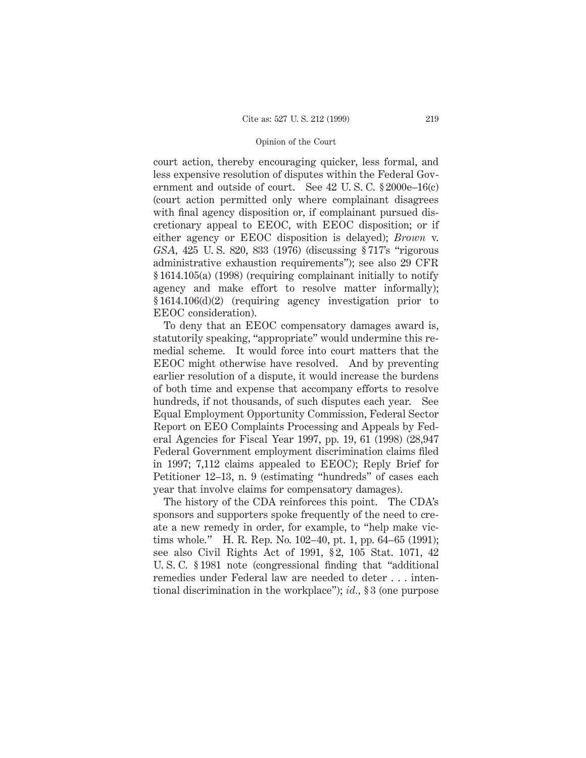court action, thereby encouraging quicker, less formal, and less expensive resolution of disputes within the Federal Government and outside of court. See 42 U. S. C. § 2000e–16(c) (court action permitted only where complainant disagrees with final agency disposition or, if complainant pursued discretionary appeal to EEOC, with EEOC disposition; or if either agency or EEOC disposition is delayed); *Brown* v. *GSA,* 425 U. S. 820, 833 (1976) (discussing § 717's "rigorous administrative exhaustion requirements"); see also 29 CFR § 1614.105(a) (1998) (requiring complainant initially to notify agency and make effort to resolve matter informally); § 1614.106(d)(2) (requiring agency investigation prior to EEOC consideration).

To deny that an EEOC compensatory damages award is, statutorily speaking, "appropriate" would undermine this remedial scheme. It would force into court matters that the EEOC might otherwise have resolved. And by preventing earlier resolution of a dispute, it would increase the burdens of both time and expense that accompany efforts to resolve hundreds, if not thousands, of such disputes each year. See Equal Employment Opportunity Commission, Federal Sector Report on EEO Complaints Processing and Appeals by Federal Agencies for Fiscal Year 1997, pp. 19, 61 (1998) (28,947 Federal Government employment discrimination claims filed in 1997; 7,112 claims appealed to EEOC); Reply Brief for Petitioner 12–13, n. 9 (estimating "hundreds" of cases each year that involve claims for compensatory damages).

The history of the CDA reinforces this point. The CDA's sponsors and supporters spoke frequently of the need to create a new remedy in order, for example, to "help make victims whole." H. R. Rep. No. 102–40, pt. 1, pp. 64–65 (1991); see also Civil Rights Act of 1991, § 2, 105 Stat. 1071, 42 U. S. C. § 1981 note (congressional finding that "additional remedies under Federal law are needed to deter...intentional discrimination in the workplace"); *id.,* § 3 (one purpose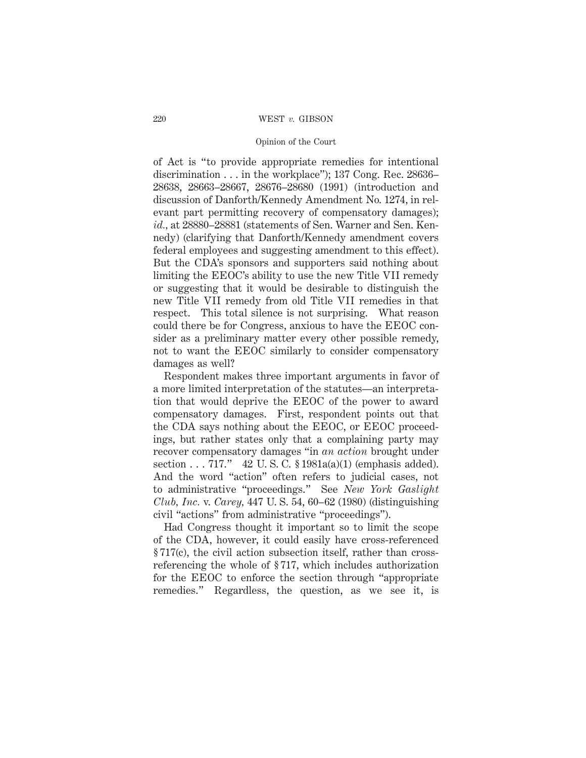#### 220 WEST *v.* GIBSON

#### Opinion of the Court

of Act is "to provide appropriate remedies for intentional discrimination . . . in the workplace"); 137 Cong. Rec. 28636– 28638, 28663–28667, 28676–28680 (1991) (introduction and discussion of Danforth/Kennedy Amendment No. 1274, in relevant part permitting recovery of compensatory damages); *id.,* at 28880–28881 (statements of Sen. Warner and Sen. Kennedy) (clarifying that Danforth/Kennedy amendment covers federal employees and suggesting amendment to this effect). But the CDA's sponsors and supporters said nothing about limiting the EEOC's ability to use the new Title VII remedy or suggesting that it would be desirable to distinguish the new Title VII remedy from old Title VII remedies in that respect. This total silence is not surprising. What reason could there be for Congress, anxious to have the EEOC consider as a preliminary matter every other possible remedy, not to want the EEOC similarly to consider compensatory damages as well?

Respondent makes three important arguments in favor of a more limited interpretation of the statutes—an interpretation that would deprive the EEOC of the power to award compensatory damages. First, respondent points out that the CDA says nothing about the EEOC, or EEOC proceedings, but rather states only that a complaining party may recover compensatory damages "in *an action* brought under section . . . 717." 42 U.S.C. § 1981a(a)(1) (emphasis added). And the word "action" often refers to judicial cases, not to administrative "proceedings." See *New York Gaslight Club, Inc.* v. *Carey,* 447 U. S. 54, 60–62 (1980) (distinguishing civil "actions" from administrative "proceedings").

Had Congress thought it important so to limit the scope of the CDA, however, it could easily have cross-referenced § 717(c), the civil action subsection itself, rather than crossreferencing the whole of § 717, which includes authorization for the EEOC to enforce the section through "appropriate remedies." Regardless, the question, as we see it, is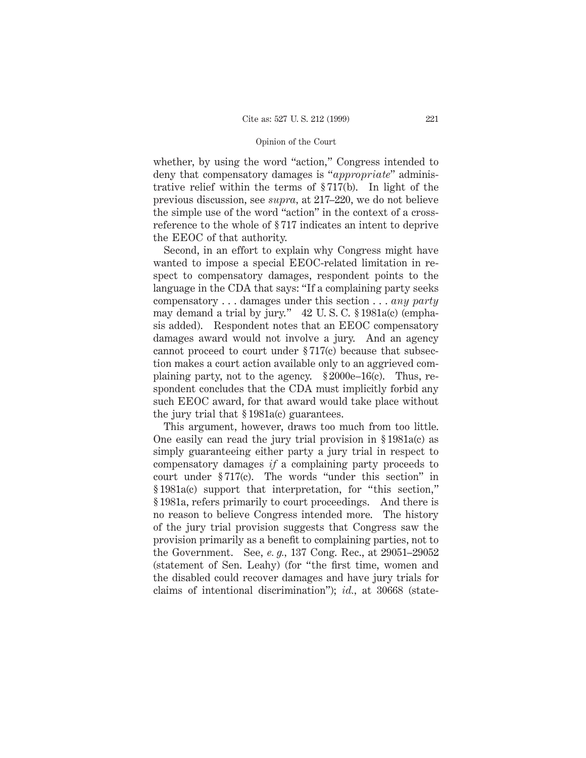whether, by using the word "action," Congress intended to deny that compensatory damages is "*appropriate*" administrative relief within the terms of § 717(b). In light of the previous discussion, see *supra,* at 217–220, we do not believe the simple use of the word "action" in the context of a crossreference to the whole of § 717 indicates an intent to deprive the EEOC of that authority.

Second, in an effort to explain why Congress might have wanted to impose a special EEOC-related limitation in respect to compensatory damages, respondent points to the language in the CDA that says: "If a complaining party seeks compensatory . . . damages under this section . . . *any party* may demand a trial by jury." 42 U. S. C. § 1981a(c) (emphasis added). Respondent notes that an EEOC compensatory damages award would not involve a jury. And an agency cannot proceed to court under § 717(c) because that subsection makes a court action available only to an aggrieved complaining party, not to the agency. § 2000e–16(c). Thus, respondent concludes that the CDA must implicitly forbid any such EEOC award, for that award would take place without the jury trial that § 1981a(c) guarantees.

This argument, however, draws too much from too little. One easily can read the jury trial provision in § 1981a(c) as simply guaranteeing either party a jury trial in respect to compensatory damages *if* a complaining party proceeds to court under § 717(c). The words "under this section" in § 1981a(c) support that interpretation, for "this section," § 1981a, refers primarily to court proceedings. And there is no reason to believe Congress intended more. The history of the jury trial provision suggests that Congress saw the provision primarily as a benefit to complaining parties, not to the Government. See, *e. g.,* 137 Cong. Rec., at 29051–29052 (statement of Sen. Leahy) (for "the first time, women and the disabled could recover damages and have jury trials for claims of intentional discrimination"); *id.,* at 30668 (state-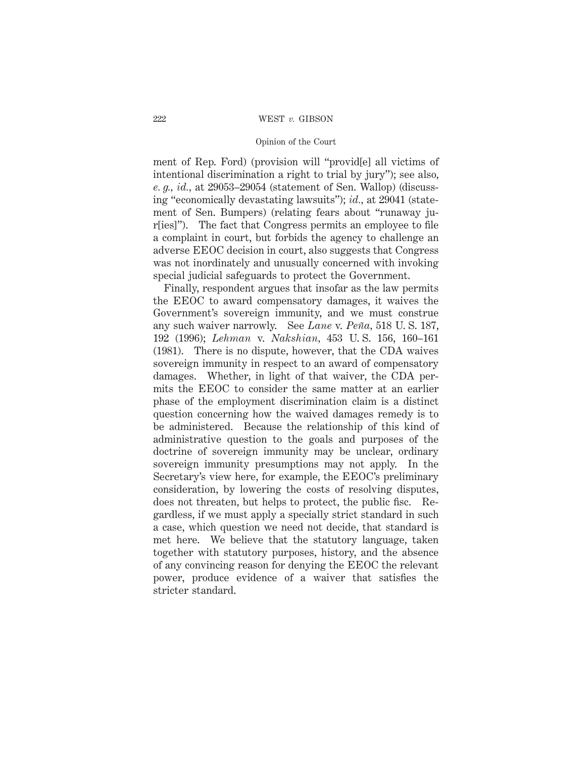#### 222 WEST *v.* GIBSON

#### Opinion of the Court

ment of Rep. Ford) (provision will "provid[e] all victims of intentional discrimination a right to trial by jury"); see also, *e. g., id.,* at 29053–29054 (statement of Sen. Wallop) (discussing "economically devastating lawsuits"); *id.,* at 29041 (statement of Sen. Bumpers) (relating fears about "runaway jur[ies]"). The fact that Congress permits an employee to file a complaint in court, but forbids the agency to challenge an adverse EEOC decision in court, also suggests that Congress was not inordinately and unusually concerned with invoking special judicial safeguards to protect the Government.

Finally, respondent argues that insofar as the law permits the EEOC to award compensatory damages, it waives the Government's sovereign immunity, and we must construe any such waiver narrowly. See *Lane* v. *Peña*, 518 U.S. 187, 192 (1996); *Lehman* v. *Nakshian,* 453 U. S. 156, 160–161 (1981). There is no dispute, however, that the CDA waives sovereign immunity in respect to an award of compensatory damages. Whether, in light of that waiver, the CDA permits the EEOC to consider the same matter at an earlier phase of the employment discrimination claim is a distinct question concerning how the waived damages remedy is to be administered. Because the relationship of this kind of administrative question to the goals and purposes of the doctrine of sovereign immunity may be unclear, ordinary sovereign immunity presumptions may not apply. In the Secretary's view here, for example, the EEOC's preliminary consideration, by lowering the costs of resolving disputes, does not threaten, but helps to protect, the public fisc. Regardless, if we must apply a specially strict standard in such a case, which question we need not decide, that standard is met here. We believe that the statutory language, taken together with statutory purposes, history, and the absence of any convincing reason for denying the EEOC the relevant power, produce evidence of a waiver that satisfies the stricter standard.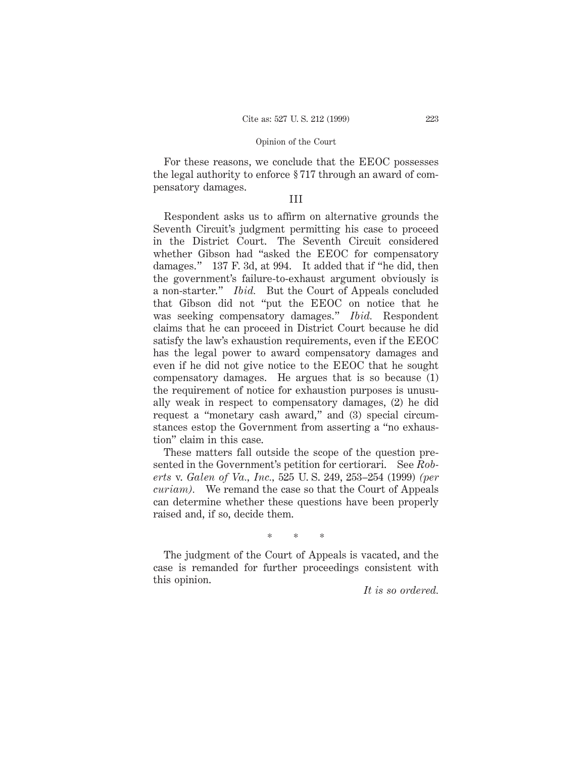For these reasons, we conclude that the EEOC possesses the legal authority to enforce § 717 through an award of compensatory damages.

### III

Respondent asks us to affirm on alternative grounds the Seventh Circuit's judgment permitting his case to proceed in the District Court. The Seventh Circuit considered whether Gibson had "asked the EEOC for compensatory damages." 137 F. 3d, at 994. It added that if "he did, then the government's failure-to-exhaust argument obviously is a non-starter." *Ibid.* But the Court of Appeals concluded that Gibson did not "put the EEOC on notice that he was seeking compensatory damages." *Ibid.* Respondent claims that he can proceed in District Court because he did satisfy the law's exhaustion requirements, even if the EEOC has the legal power to award compensatory damages and even if he did not give notice to the EEOC that he sought compensatory damages. He argues that is so because (1) the requirement of notice for exhaustion purposes is unusually weak in respect to compensatory damages, (2) he did request a "monetary cash award," and (3) special circumstances estop the Government from asserting a "no exhaustion" claim in this case.

These matters fall outside the scope of the question presented in the Government's petition for certiorari. See *Roberts* v. *Galen of Va., Inc.,* 525 U. S. 249, 253–254 (1999) *(per curiam).* We remand the case so that the Court of Appeals can determine whether these questions have been properly raised and, if so, decide them.

\*\*\*

The judgment of the Court of Appeals is vacated, and the case is remanded for further proceedings consistent with this opinion.

*It is so ordered.*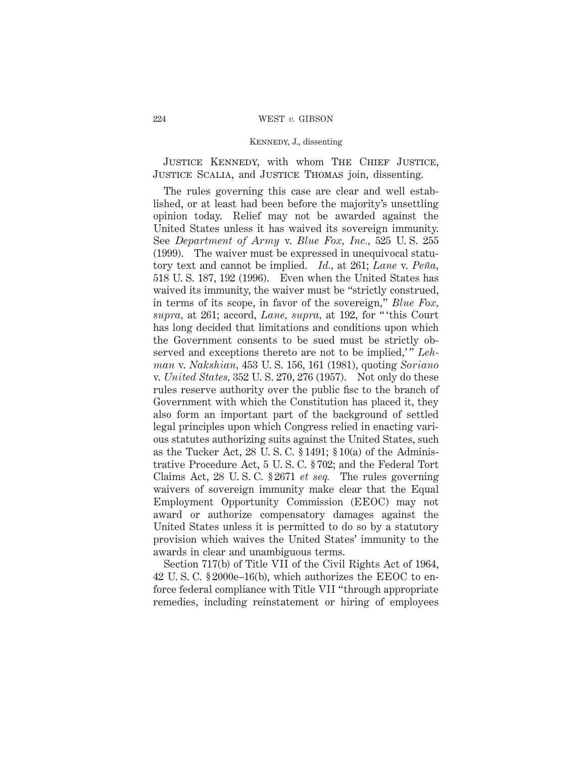JUSTICE KENNEDY, with whom THE CHIEF JUSTICE, Justice Scalia, and Justice Thomas join, dissenting.

The rules governing this case are clear and well established, or at least had been before the majority's unsettling opinion today. Relief may not be awarded against the United States unless it has waived its sovereign immunity. See *Department of Army* v. *Blue Fox, Inc.,* 525 U. S. 255 (1999). The waiver must be expressed in unequivocal statutory text and cannot be implied. *Id.,* at 261; *Lane* v. *Pen˜a,* 518 U. S. 187, 192 (1996). Even when the United States has waived its immunity, the waiver must be "strictly construed, in terms of its scope, in favor of the sovereign," *Blue Fox, supra,* at 261; accord, *Lane, supra,* at 192, for " 'this Court has long decided that limitations and conditions upon which the Government consents to be sued must be strictly observed and exceptions thereto are not to be implied,'" *Lehman* v. *Nakshian,* 453 U. S. 156, 161 (1981), quoting *Soriano* v. *United States,* 352 U. S. 270, 276 (1957). Not only do these rules reserve authority over the public fisc to the branch of Government with which the Constitution has placed it, they also form an important part of the background of settled legal principles upon which Congress relied in enacting various statutes authorizing suits against the United States, such as the Tucker Act, 28 U. S. C. § 1491; § 10(a) of the Administrative Procedure Act, 5 U. S. C. § 702; and the Federal Tort Claims Act, 28 U. S. C. § 2671 *et seq.* The rules governing waivers of sovereign immunity make clear that the Equal Employment Opportunity Commission (EEOC) may not award or authorize compensatory damages against the United States unless it is permitted to do so by a statutory provision which waives the United States' immunity to the awards in clear and unambiguous terms.

Section 717(b) of Title VII of the Civil Rights Act of 1964, 42 U. S. C. § 2000e–16(b), which authorizes the EEOC to enforce federal compliance with Title VII "through appropriate remedies, including reinstatement or hiring of employees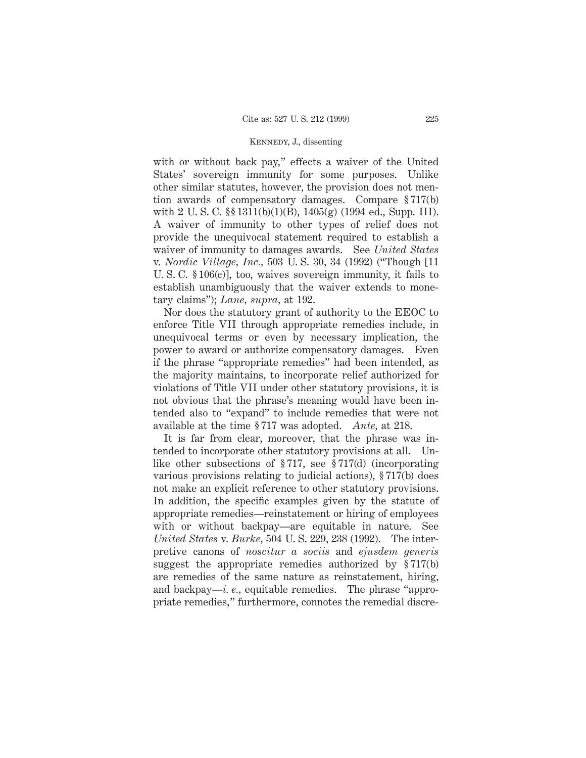with or without back pay," effects a waiver of the United States' sovereign immunity for some purposes. Unlike other similar statutes, however, the provision does not mention awards of compensatory damages. Compare § 717(b) with 2 U. S. C. §§ 1311(b)(1)(B), 1405(g) (1994 ed., Supp. III). A waiver of immunity to other types of relief does not provide the unequivocal statement required to establish a waiver of immunity to damages awards. See *United States* v. *Nordic Village, Inc.,* 503 U. S. 30, 34 (1992) ("Though [11 U. S. C. § 106(c)], too, waives sovereign immunity, it fails to establish unambiguously that the waiver extends to monetary claims"); *Lane, supra,* at 192.

Nor does the statutory grant of authority to the EEOC to enforce Title VII through appropriate remedies include, in unequivocal terms or even by necessary implication, the power to award or authorize compensatory damages. Even if the phrase "appropriate remedies" had been intended, as the majority maintains, to incorporate relief authorized for violations of Title VII under other statutory provisions, it is not obvious that the phrase's meaning would have been intended also to "expand" to include remedies that were not available at the time § 717 was adopted. *Ante,* at 218.

It is far from clear, moreover, that the phrase was intended to incorporate other statutory provisions at all. Unlike other subsections of § 717, see § 717(d) (incorporating various provisions relating to judicial actions), § 717(b) does not make an explicit reference to other statutory provisions. In addition, the specific examples given by the statute of appropriate remedies—reinstatement or hiring of employees with or without backpay—are equitable in nature. See *United States* v. *Burke,* 504 U. S. 229, 238 (1992). The interpretive canons of *noscitur a sociis* and *ejusdem generis* suggest the appropriate remedies authorized by § 717(b) are remedies of the same nature as reinstatement, hiring, and backpay—*i. e.,* equitable remedies. The phrase "appropriate remedies," furthermore, connotes the remedial discre-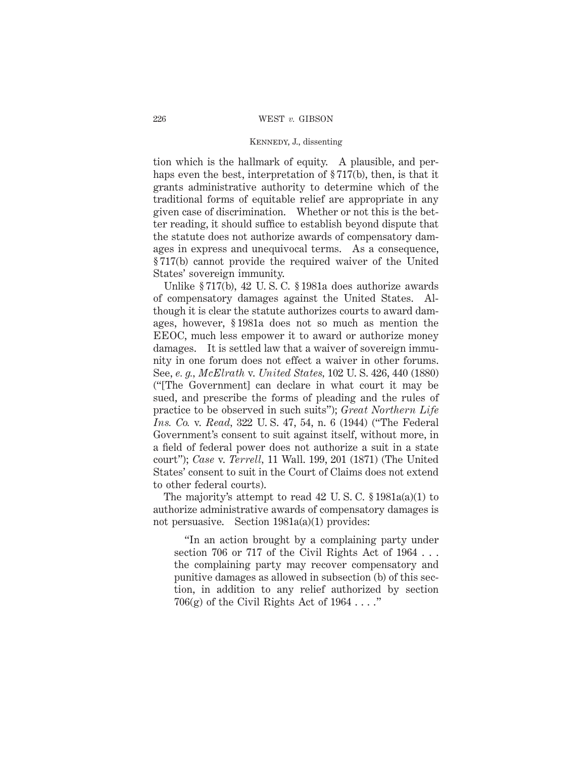tion which is the hallmark of equity. A plausible, and perhaps even the best, interpretation of §717(b), then, is that it grants administrative authority to determine which of the traditional forms of equitable relief are appropriate in any given case of discrimination. Whether or not this is the better reading, it should suffice to establish beyond dispute that the statute does not authorize awards of compensatory damages in express and unequivocal terms. As a consequence, § 717(b) cannot provide the required waiver of the United States' sovereign immunity.

Unlike § 717(b), 42 U. S. C. § 1981a does authorize awards of compensatory damages against the United States. Although it is clear the statute authorizes courts to award damages, however, § 1981a does not so much as mention the EEOC, much less empower it to award or authorize money damages. It is settled law that a waiver of sovereign immunity in one forum does not effect a waiver in other forums. See, *e. g., McElrath* v. *United States,* 102 U. S. 426, 440 (1880) ("[The Government] can declare in what court it may be sued, and prescribe the forms of pleading and the rules of practice to be observed in such suits"); *Great Northern Life Ins. Co.* v. *Read,* 322 U. S. 47, 54, n. 6 (1944) ("The Federal Government's consent to suit against itself, without more, in a field of federal power does not authorize a suit in a state court"); *Case* v. *Terrell,* 11 Wall. 199, 201 (1871) (The United States' consent to suit in the Court of Claims does not extend to other federal courts).

The majority's attempt to read 42 U. S. C. § 1981a(a)(1) to authorize administrative awards of compensatory damages is not persuasive. Section 1981a(a)(1) provides:

"In an action brought by a complaining party under section 706 or 717 of the Civil Rights Act of 1964 . . . the complaining party may recover compensatory and punitive damages as allowed in subsection (b) of this section, in addition to any relief authorized by section 706(g) of the Civil Rights Act of  $1964...$ .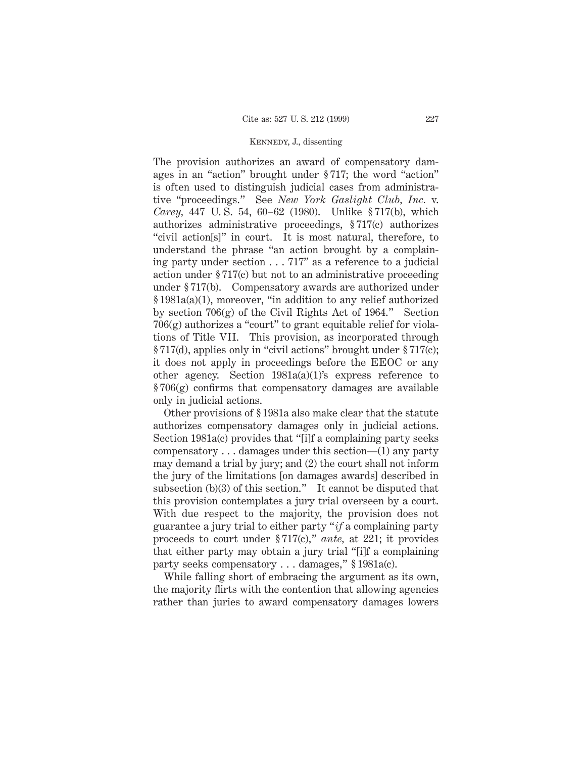The provision authorizes an award of compensatory damages in an "action" brought under § 717; the word "action" is often used to distinguish judicial cases from administrative "proceedings." See *New York Gaslight Club, Inc.* v. *Carey,* 447 U. S. 54, 60–62 (1980). Unlike § 717(b), which authorizes administrative proceedings, § 717(c) authorizes "civil action[s]" in court. It is most natural, therefore, to understand the phrase "an action brought by a complaining party under section... 717" as a reference to a judicial action under § 717(c) but not to an administrative proceeding under § 717(b). Compensatory awards are authorized under § 1981a(a)(1), moreover, "in addition to any relief authorized by section  $706(g)$  of the Civil Rights Act of 1964." Section 706(g) authorizes a "court" to grant equitable relief for violations of Title VII. This provision, as incorporated through § 717(d), applies only in "civil actions" brought under § 717(c); it does not apply in proceedings before the EEOC or any other agency. Section 1981a(a)(1)'s express reference to  $§706(g)$  confirms that compensatory damages are available only in judicial actions.

Other provisions of § 1981a also make clear that the statute authorizes compensatory damages only in judicial actions. Section 1981a(c) provides that "[i]f a complaining party seeks compensatory... damages under this section—(1) any party may demand a trial by jury; and (2) the court shall not inform the jury of the limitations [on damages awards] described in subsection (b)(3) of this section." It cannot be disputed that this provision contemplates a jury trial overseen by a court. With due respect to the majority, the provision does not guarantee a jury trial to either party "*if* a complaining party proceeds to court under § 717(c)," *ante,* at 221; it provides that either party may obtain a jury trial "[i]f a complaining party seeks compensatory... damages," § 1981a(c).

While falling short of embracing the argument as its own, the majority flirts with the contention that allowing agencies rather than juries to award compensatory damages lowers